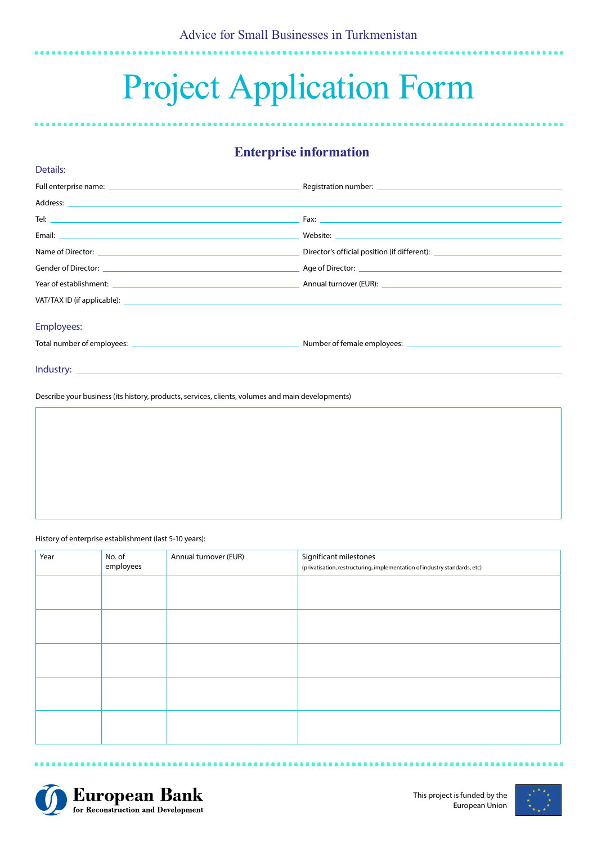# Project Application Form

# **Enterprise information**

|                                                                                                                                                                                                                                | Director's official position (if different): ___________________________________ |
|--------------------------------------------------------------------------------------------------------------------------------------------------------------------------------------------------------------------------------|----------------------------------------------------------------------------------|
| Gender of Director: Age of Director: Age of Director:                                                                                                                                                                          |                                                                                  |
|                                                                                                                                                                                                                                |                                                                                  |
| VAT/TAX ID (if applicable): The state of the state of the state of the state of the state of the state of the state of the state of the state of the state of the state of the state of the state of the state of the state of |                                                                                  |
| <b>Employees:</b>                                                                                                                                                                                                              |                                                                                  |
|                                                                                                                                                                                                                                |                                                                                  |

Describe your business (its history, products, services, clients, volumes and main developments)

History of enterprise establishment (last 5-10 years):

Details:

| Year | No. of<br>employees | Annual turnover (EUR) | Significant milestones<br>(privatisation, restructuring, implementation of industry standards, etc) |
|------|---------------------|-----------------------|-----------------------------------------------------------------------------------------------------|
|      |                     |                       |                                                                                                     |
|      |                     |                       |                                                                                                     |
|      |                     |                       |                                                                                                     |
|      |                     |                       |                                                                                                     |
|      |                     |                       |                                                                                                     |



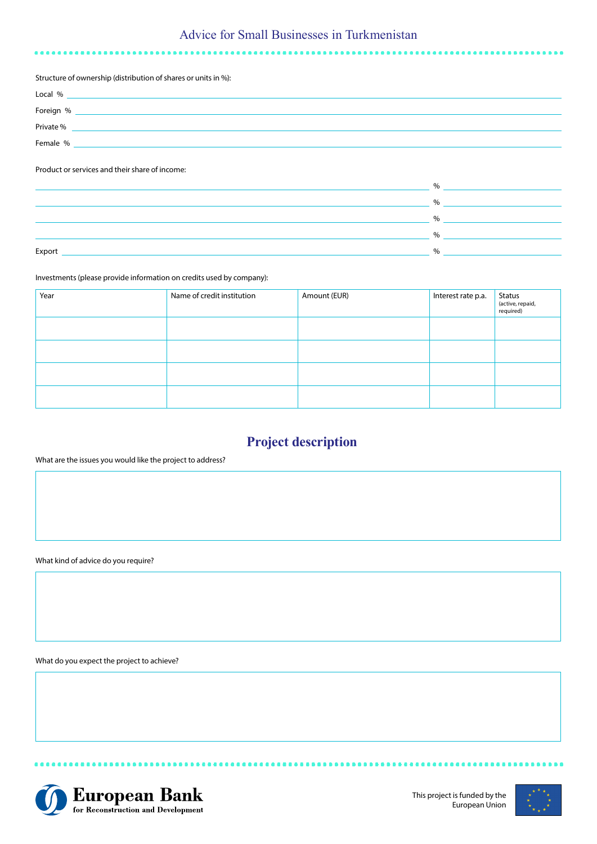# Advice for Small Businesses in Turkmenistan

#### Structure of ownership (distribution of shares or units in %):

| Local %   |  |
|-----------|--|
| Foreign % |  |
| Private % |  |
| Female %  |  |

## Product or services and their share of income:

|        | $\%$ |
|--------|------|
|        | %    |
|        | $\%$ |
|        | 0/2  |
| Export | 0/2  |
|        |      |

## Investments (please provide information on credits used by company):

| Year | Name of credit institution | Amount (EUR) | Interest rate p.a. | Status<br>(active, repaid,<br>required) |
|------|----------------------------|--------------|--------------------|-----------------------------------------|
|      |                            |              |                    |                                         |
|      |                            |              |                    |                                         |
|      |                            |              |                    |                                         |
|      |                            |              |                    |                                         |

# **Project description**

## What are the issues you would like the project to address?

What kind of advice do you require?

What do you expect the project to achieve?



---------